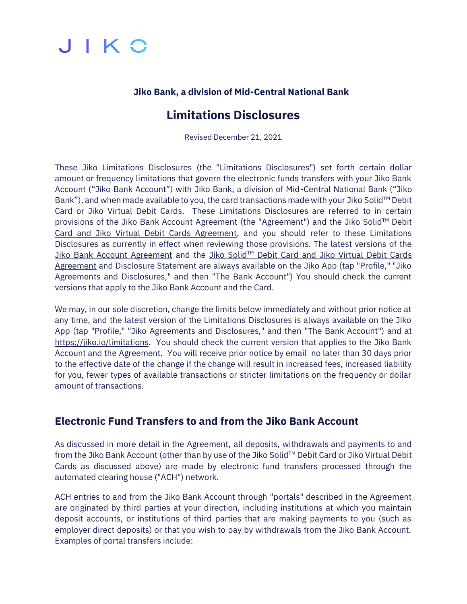

#### **Jiko Bank, a division of Mid-Central National Bank**

## **Limitations Disclosures**

Revised December 21, 2021

These Jiko Limitations Disclosures (the "Limitations Disclosures") set forth certain dollar amount or frequency limitations that govern the electronic funds transfers with your Jiko Bank Account ("Jiko Bank Account") with Jiko Bank, a division of Mid-Central National Bank ("Jiko Bank"), and when made available to you, the card transactions made with your Jiko Solid™ Debit Card or Jiko Virtual Debit Cards. These Limitations Disclosures are referred to in certain provisions of the [Jiko Bank Account Agreement](https://jiko.io/docs/bankaccount.pdf) (the "Agreement") and the [Jiko Solid](https://jiko.io/docs/jikosolid.pdf)™ Debit [Card and Jiko Virtual Debit Cards Agreement,](https://jiko.io/docs/jikosolid.pdf) and you should refer to these Limitations Disclosures as currently in effect when reviewing those provisions. The latest versions of the [Jiko Bank Account Agreement](https://jiko.io/docs/bankaccount.pdf) and the Jiko Solid™ [Debit Card and Jiko Virtual Debit Cards](https://jiko.io/docs/jikosolid.pdf) [Agreement](https://jiko.io/docs/jikosolid.pdf) and Disclosure Statement are always available on the Jiko App (tap "Profile," "Jiko Agreements and Disclosures," and then "The Bank Account") You should check the current versions that apply to the Jiko Bank Account and the Card.

We may, in our sole discretion, change the limits below immediately and without prior notice at any time, and the latest version of the Limitations Disclosures is always available on the Jiko App (tap "Profile," "Jiko Agreements and Disclosures," and then "The Bank Account") and at [https://jiko.io/limitations.](https://jiko.io/limitations) You should check the current version that applies to the Jiko Bank Account and the Agreement. You will receive prior notice by email no later than 30 days prior to the effective date of the change if the change will result in increased fees, increased liability for you, fewer types of available transactions or stricter limitations on the frequency or dollar amount of transactions.

#### **Electronic Fund Transfers to and from the Jiko Bank Account**

As discussed in more detail in the Agreement, all deposits, withdrawals and payments to and from the Jiko Bank Account (other than by use of the Jiko Solid™ Debit Card or Jiko Virtual Debit Cards as discussed above) are made by electronic fund transfers processed through the automated clearing house ("ACH") network.

ACH entries to and from the Jiko Bank Account through "portals" described in the Agreement are originated by third parties at your direction, including institutions at which you maintain deposit accounts, or institutions of third parties that are making payments to you (such as employer direct deposits) or that you wish to pay by withdrawals from the Jiko Bank Account. Examples of portal transfers include: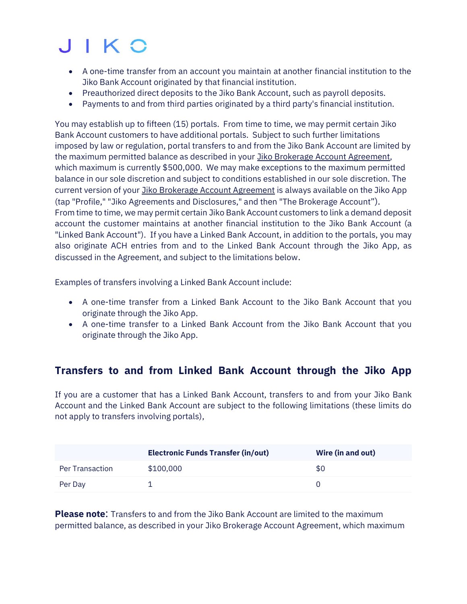# JIKO

- A one-time transfer from an account you maintain at another financial institution to the Jiko Bank Account originated by that financial institution.
- Preauthorized direct deposits to the Jiko Bank Account, such as payroll deposits.
- Payments to and from third parties originated by a third party's financial institution.

You may establish up to fifteen (15) portals. From time to time, we may permit certain Jiko Bank Account customers to have additional portals. Subject to such further limitations imposed by law or regulation, portal transfers to and from the Jiko Bank Account are limited by the maximum permitted balance as described in your Jiko [Brokerage Account Agreement,](https://jiko.io/docs/brokerageaccount.pdf) which maximum is currently \$500,000. We may make exceptions to the maximum permitted balance in our sole discretion and subject to conditions established in our sole discretion. The current version of your Jiko [Brokerage Account Agreement](https://jiko.io/docs/brokerageaccount.pdf) is always available on the Jiko App (tap "Profile," "Jiko Agreements and Disclosures," and then "The Brokerage Account"). From time to time, we may permit certain Jiko Bank Account customers to link a demand deposit account the customer maintains at another financial institution to the Jiko Bank Account (a "Linked Bank Account"). If you have a Linked Bank Account, in addition to the portals, you may also originate ACH entries from and to the Linked Bank Account through the Jiko App, as discussed in the Agreement, and subject to the limitations below.

Examples of transfers involving a Linked Bank Account include:

- A one-time transfer from a Linked Bank Account to the Jiko Bank Account that you originate through the Jiko App.
- A one-time transfer to a Linked Bank Account from the Jiko Bank Account that you originate through the Jiko App.

#### **Transfers to and from Linked Bank Account through the Jiko App**

If you are a customer that has a Linked Bank Account, transfers to and from your Jiko Bank Account and the Linked Bank Account are subject to the following limitations (these limits do not apply to transfers involving portals),

|                 | <b>Electronic Funds Transfer (in/out)</b> | Wire (in and out) |
|-----------------|-------------------------------------------|-------------------|
| Per Transaction | \$100,000                                 | \$0               |
| Per Day         |                                           |                   |

**Please note**: Transfers to and from the Jiko Bank Account are limited to the maximum permitted balance, as described in your [Jiko Brokerage Account Agreement,](https://jiko.io/docs/brokerageaccount.pdf) which maximum